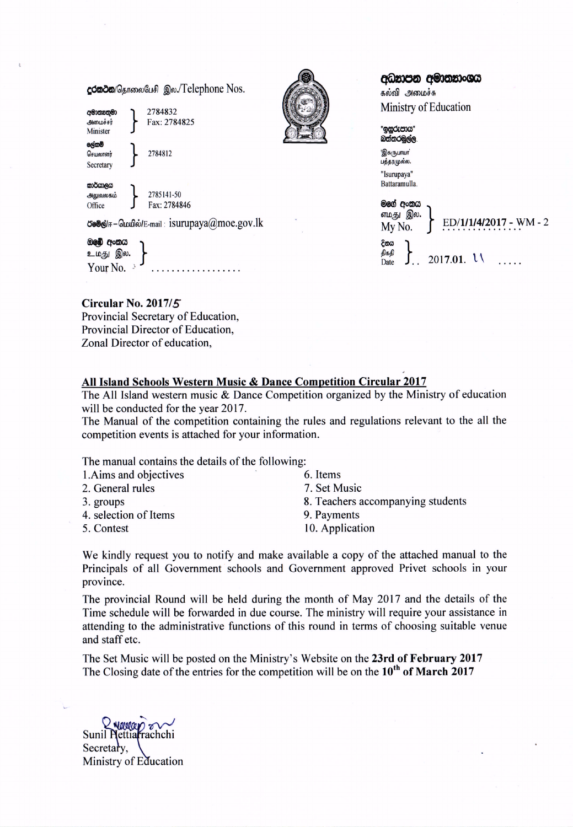|                                   | comon சொலைபேசி இல./Telephone Nos.                         | අධනපන අමාතනංශය<br>கல்வி அமைச்சு           |  |  |  |
|-----------------------------------|-----------------------------------------------------------|-------------------------------------------|--|--|--|
| අමාතනතුමා<br>அமைச்சர்<br>Minister | 2784832<br>Fax: 2784825                                   | Ministry of Education<br>"ඉසුරුපාය"       |  |  |  |
| ලේකම්<br>செயலாளர்<br>Secretary    | 2784812                                                   | බත්තරමුල්ල.<br>'இசுருபாயா'<br>பத்தரமுல்ல. |  |  |  |
| කාර්යාලය<br>அலுவலகம்<br>Office    | 2785141-50<br>Fax: 2784846                                | "Isurupaya"<br>Battaramulla.<br>මගේ අංකය  |  |  |  |
|                                   | <b>ு</b> ச்சிச் – மெயில்/E-mail: isurupaya $@$ moe.gov.lk | எமது இல.<br>WM - 2<br>My No.              |  |  |  |
| ඔළඹි අංකය<br>உமது இல.<br>Your No. |                                                           | දිනය<br>திகதி<br>2017.01.<br>Date         |  |  |  |

# **Circular No. 2017/5**

Provincial Secretary of Education, Provincial Director of Education, Zonal Director of education.

#### All Island Schools Western Music & Dance Competition Circular 2017

The All Island western music & Dance Competition organized by the Ministry of education will be conducted for the year 2017.

The Manual of the competition containing the rules and regulations relevant to the all the competition events is attached for your information.

The manual contains the details of the following:

- 1. Aims and objectives
- 2. General rules
- 3. groups
- 4. selection of Items
- 5. Contest
- 6. Items
- 7. Set Music
- 8. Teachers accompanying students

- 9. Payments
- 10. Application

We kindly request you to notify and make available a copy of the attached manual to the Principals of all Government schools and Government approved Privet schools in your province.

The provincial Round will be held during the month of May 2017 and the details of the Time schedule will be forwarded in due course. The ministry will require your assistance in attending to the administrative functions of this round in terms of choosing suitable venue and staff etc.

The Set Music will be posted on the Ministry's Website on the 23rd of February 2017 The Closing date of the entries for the competition will be on the  $10^{th}$  of March 2017

Q wavear or Sunil Hettiarrachchi

Secretary. Ministry of Education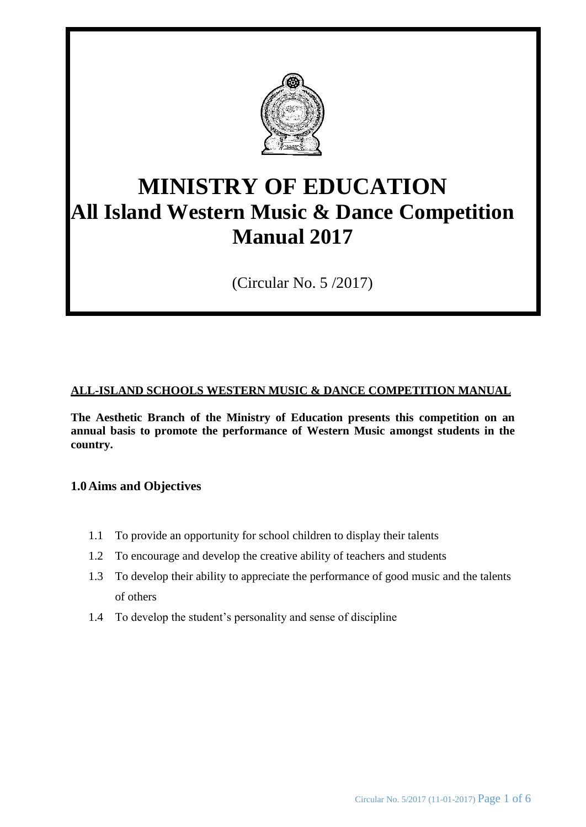

# **MINISTRY OF EDUCATION All Island Western Music & Dance Competition Manual 2017**

(Circular No. 5 /2017)

# **ALL-ISLAND SCHOOLS WESTERN MUSIC & DANCE COMPETITION MANUAL**

**The Aesthetic Branch of the Ministry of Education presents this competition on an annual basis to promote the performance of Western Music amongst students in the country.**

### **1.0Aims and Objectives**

- 1.1 To provide an opportunity for school children to display their talents
- 1.2 To encourage and develop the creative ability of teachers and students
- 1.3 To develop their ability to appreciate the performance of good music and the talents of others
- 1.4 To develop the student's personality and sense of discipline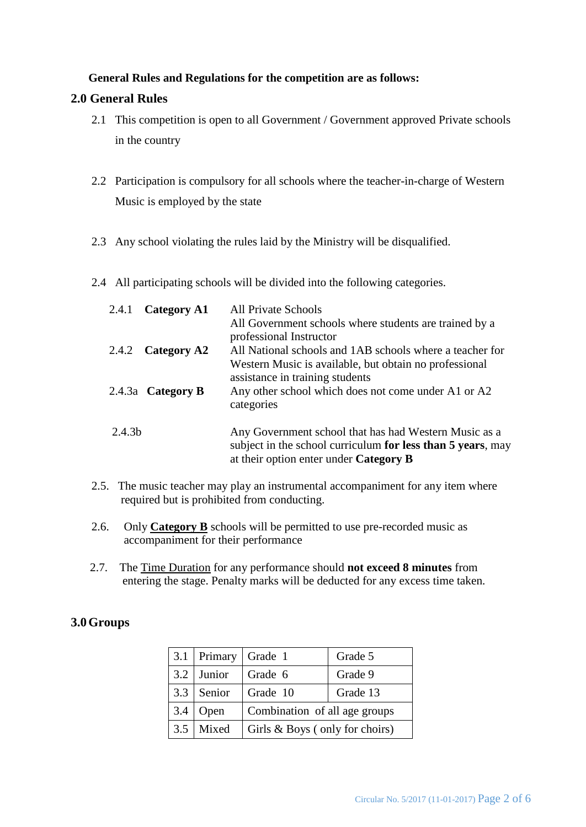#### **General Rules and Regulations for the competition are as follows:**

#### **2.0 General Rules**

- 2.1 This competition is open to all Government / Government approved Private schools in the country
- 2.2 Participation is compulsory for all schools where the teacher-in-charge of Western Music is employed by the state
- 2.3 Any school violating the rules laid by the Ministry will be disqualified.
- 2.4 All participating schools will be divided into the following categories.

| Category A1<br>2.4.1 | All Private Schools<br>All Government schools where students are trained by a<br>professional Instructor                                                       |
|----------------------|----------------------------------------------------------------------------------------------------------------------------------------------------------------|
| 2.4.2 Category A2    | All National schools and 1AB schools where a teacher for<br>Western Music is available, but obtain no professional<br>assistance in training students          |
| 2.4.3a Category B    | Any other school which does not come under A1 or A2<br>categories                                                                                              |
| 2.4.3 <sub>b</sub>   | Any Government school that has had Western Music as a<br>subject in the school curriculum for less than 5 years, may<br>at their option enter under Category B |

- 2.5. The music teacher may play an instrumental accompaniment for any item where required but is prohibited from conducting.
- 2.6. Only **Category B** schools will be permitted to use pre-recorded music as accompaniment for their performance
- 2.7. The Time Duration for any performance should **not exceed 8 minutes** from entering the stage. Penalty marks will be deducted for any excess time taken.

#### **3.0Groups**

|     | $3.1$ Primary | Grade 1                        | Grade 5                       |  |  |  |
|-----|---------------|--------------------------------|-------------------------------|--|--|--|
|     | $3.2$ Junior  | Grade 6                        | Grade 9                       |  |  |  |
| 3.3 | Senior        | Grade 10                       | Grade 13                      |  |  |  |
| 3.4 | Open          |                                | Combination of all age groups |  |  |  |
| 3.5 | Mixed         | Girls & Boys (only for choirs) |                               |  |  |  |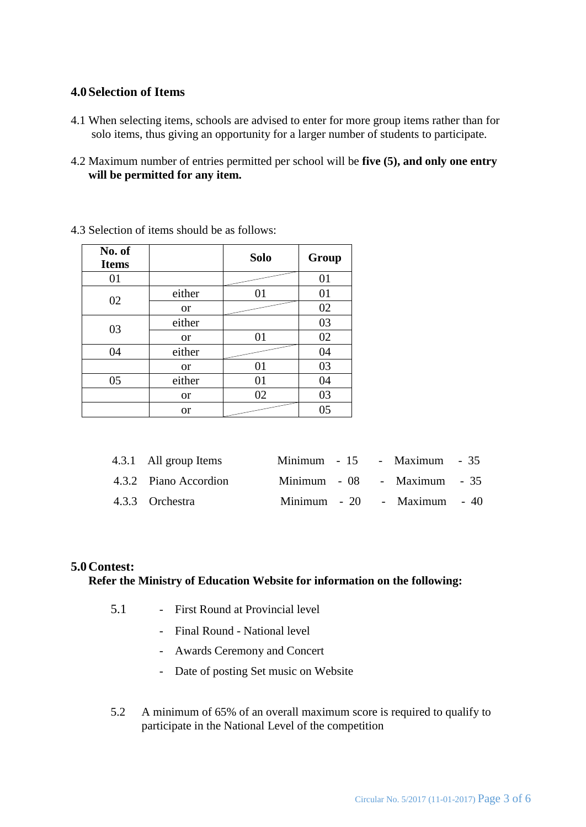#### **4.0Selection of Items**

- 4.1 When selecting items, schools are advised to enter for more group items rather than for solo items, thus giving an opportunity for a larger number of students to participate.
- 4.2 Maximum number of entries permitted per school will be **five (5), and only one entry will be permitted for any item.**

| No. of<br><b>Items</b> |           | <b>Solo</b> | Group |
|------------------------|-----------|-------------|-------|
| 01                     |           |             | 01    |
| 02                     | either    | 01          | 01    |
|                        | <b>or</b> |             | 02    |
| 03                     | either    |             | 03    |
|                        | <b>or</b> | 01          | 02    |
| 04                     | either    |             | 04    |
|                        | <b>or</b> | 01          | 03    |
| 05                     | either    | 01          | 04    |
|                        | <b>or</b> | 02          | 03    |
|                        | <b>or</b> |             | 05    |

4.3 Selection of items should be as follows:

|  | 4.3.1 All group Items |  | Minimum - $15$ - Maximum - $35$ |  |
|--|-----------------------|--|---------------------------------|--|
|  | 4.3.2 Piano Accordion |  | Minimum - $08$ - Maximum - $35$ |  |
|  | 4.3.3 Orchestra       |  | Minimum - 20 - Maximum - 40     |  |

#### **5.0Contest:**

#### **Refer the Ministry of Education Website for information on the following:**

- 5.1 First Round at Provincial level
	- Final Round National level
	- Awards Ceremony and Concert
	- Date of posting Set music on Website
- 5.2 A minimum of 65% of an overall maximum score is required to qualify to participate in the National Level of the competition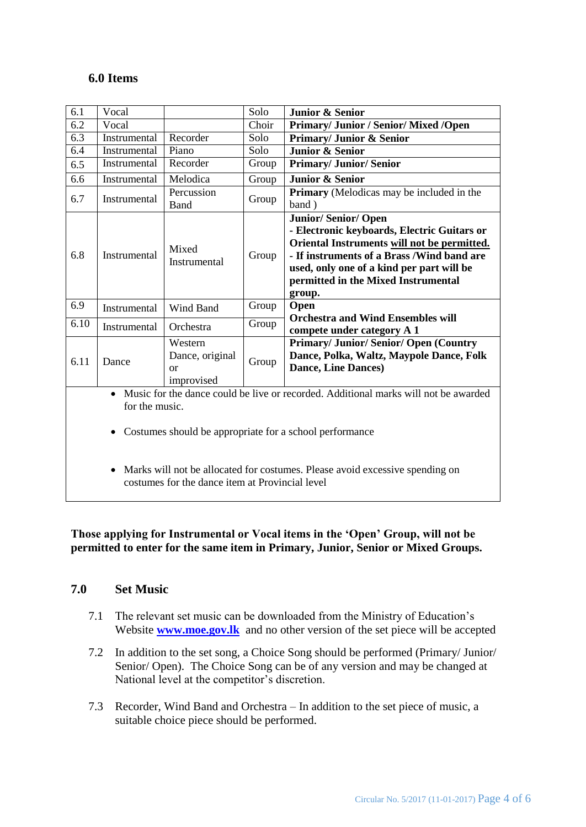# **6.0 Items**

| 6.1                                                                                                                                                              | Vocal               |                       | Solo  | <b>Junior &amp; Senior</b>                                                                                                                                                                                                                                          |  |  |  |
|------------------------------------------------------------------------------------------------------------------------------------------------------------------|---------------------|-----------------------|-------|---------------------------------------------------------------------------------------------------------------------------------------------------------------------------------------------------------------------------------------------------------------------|--|--|--|
| 6.2                                                                                                                                                              | Vocal               |                       | Choir | <b>Primary/Junior / Senior/Mixed /Open</b>                                                                                                                                                                                                                          |  |  |  |
| 6.3                                                                                                                                                              | Instrumental        | Recorder              | Solo  | <b>Primary/Junior &amp; Senior</b>                                                                                                                                                                                                                                  |  |  |  |
| 6.4<br>Instrumental                                                                                                                                              |                     | Piano                 | Solo  | <b>Junior &amp; Senior</b>                                                                                                                                                                                                                                          |  |  |  |
| 6.5                                                                                                                                                              | Instrumental        | Recorder              | Group | <b>Primary/Junior/Senior</b>                                                                                                                                                                                                                                        |  |  |  |
| 6.6                                                                                                                                                              | Instrumental        | Melodica              | Group | <b>Junior &amp; Senior</b>                                                                                                                                                                                                                                          |  |  |  |
| 6.7                                                                                                                                                              | Instrumental        | Percussion<br>Band    | Group | <b>Primary</b> (Melodicas may be included in the<br>band)                                                                                                                                                                                                           |  |  |  |
| 6.8                                                                                                                                                              | Instrumental        | Mixed<br>Instrumental | Group | <b>Junior/Senior/Open</b><br>- Electronic keyboards, Electric Guitars or<br>Oriental Instruments will not be permitted.<br>- If instruments of a Brass /Wind band are<br>used, only one of a kind per part will be<br>permitted in the Mixed Instrumental<br>group. |  |  |  |
| 6.9                                                                                                                                                              | Instrumental        | Wind Band             | Group | Open                                                                                                                                                                                                                                                                |  |  |  |
| 6.10                                                                                                                                                             | <b>Instrumental</b> | Orchestra             | Group | <b>Orchestra and Wind Ensembles will</b><br>compete under category A 1                                                                                                                                                                                              |  |  |  |
| Western<br>Dance, original<br>6.11<br>Dance<br>Group<br><b>Dance, Line Dances)</b><br><b>or</b><br>improvised                                                    |                     |                       |       | <b>Primary/Junior/Senior/Open (Country)</b><br>Dance, Polka, Waltz, Maypole Dance, Folk                                                                                                                                                                             |  |  |  |
| Music for the dance could be live or recorded. Additional marks will not be awarded<br>for the music.<br>Costumes should be appropriate for a school performance |                     |                       |       |                                                                                                                                                                                                                                                                     |  |  |  |
| Marks will not be allocated for costumes. Please avoid excessive spending on<br>$\bullet$<br>costumes for the dance item at Provincial level                     |                     |                       |       |                                                                                                                                                                                                                                                                     |  |  |  |

#### **Those applying for Instrumental or Vocal items in the 'Open' Group, will not be permitted to enter for the same item in Primary, Junior, Senior or Mixed Groups.**

#### **7.0 Set Music**

- 7.1 The relevant set music can be downloaded from the Ministry of Education's Website **[www.moe.gov.lk](http://www.moe.gov.lk/)** and no other version of the set piece will be accepted
- 7.2 In addition to the set song, a Choice Song should be performed (Primary/ Junior/ Senior/ Open). The Choice Song can be of any version and may be changed at National level at the competitor's discretion.
- 7.3 Recorder, Wind Band and Orchestra In addition to the set piece of music, a suitable choice piece should be performed.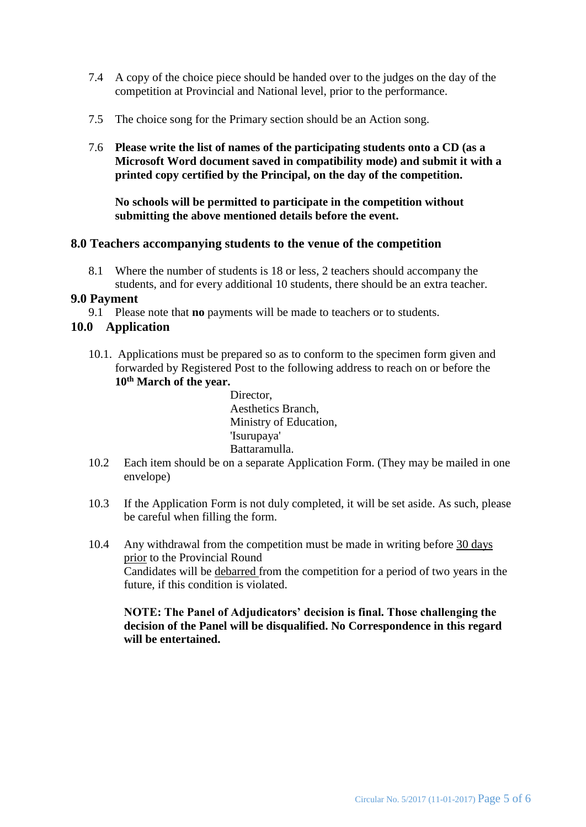- 7.4 A copy of the choice piece should be handed over to the judges on the day of the competition at Provincial and National level, prior to the performance.
- 7.5 The choice song for the Primary section should be an Action song.
- 7.6 **Please write the list of names of the participating students onto a CD (as a Microsoft Word document saved in compatibility mode) and submit it with a printed copy certified by the Principal, on the day of the competition.**

**No schools will be permitted to participate in the competition without submitting the above mentioned details before the event.**

#### **8.0 Teachers accompanying students to the venue of the competition**

8.1 Where the number of students is 18 or less, 2 teachers should accompany the students, and for every additional 10 students, there should be an extra teacher.

#### **9.0 Payment**

9.1 Please note that **no** payments will be made to teachers or to students.

#### **10.0 Application**

10.1. Applications must be prepared so as to conform to the specimen form given and forwarded by Registered Post to the following address to reach on or before the **10th March of the year.**

> Director. Aesthetics Branch, Ministry of Education, 'Isurupaya' Battaramulla.

- 10.2 Each item should be on a separate Application Form. (They may be mailed in one envelope)
- 10.3 If the Application Form is not duly completed, it will be set aside. As such, please be careful when filling the form.
- 10.4 Any withdrawal from the competition must be made in writing before 30 days prior to the Provincial Round Candidates will be debarred from the competition for a period of two years in the future, if this condition is violated.

#### **NOTE: The Panel of Adjudicators' decision is final. Those challenging the decision of the Panel will be disqualified. No Correspondence in this regard will be entertained.**